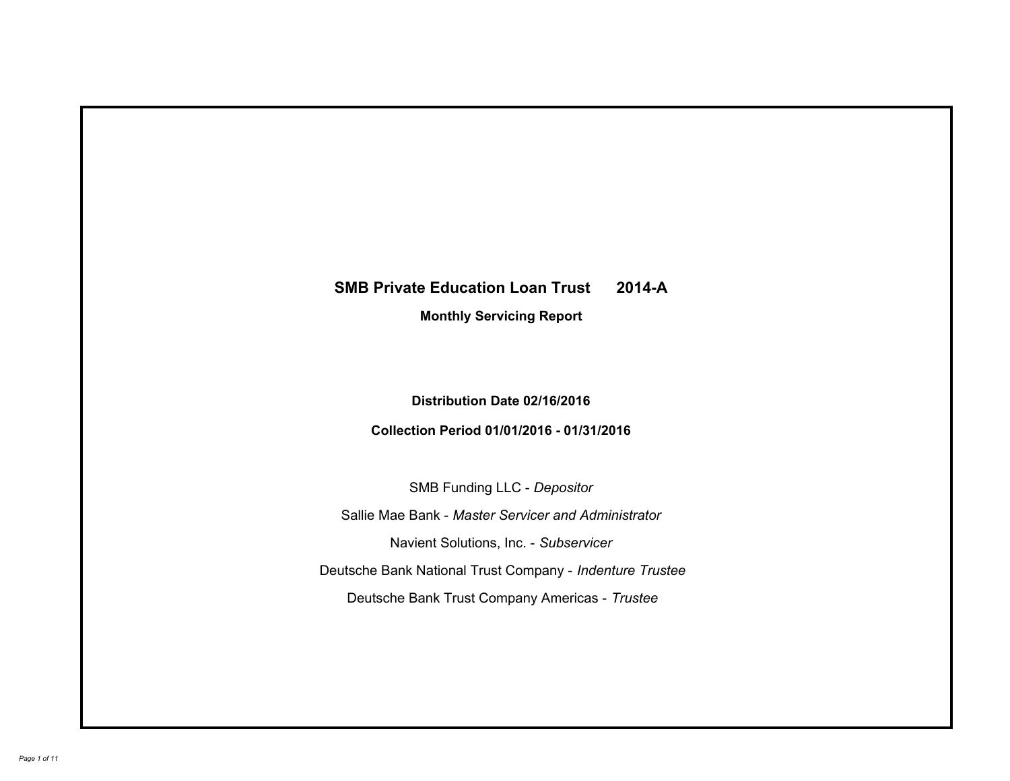# **SMB Private Education Loan Trust 2014-A Monthly Servicing Report**

## **Distribution Date 02/16/2016**

# **Collection Period 01/01/2016 - 01/31/2016**

SMB Funding LLC - *Depositor*

Sallie Mae Bank - *Master Servicer and Administrator*

Navient Solutions, Inc. - *Subservicer*

Deutsche Bank National Trust Company - *Indenture Trustee*

Deutsche Bank Trust Company Americas - *Trustee*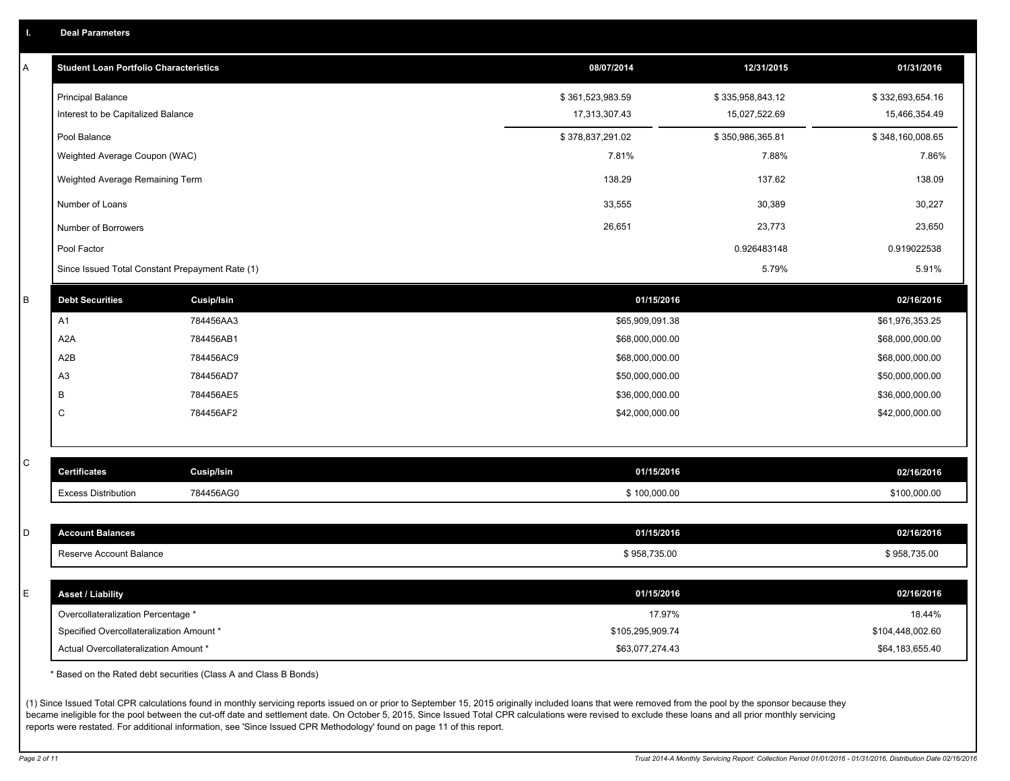|  |  |  | <b>Deal Parameters</b> |  |
|--|--|--|------------------------|--|
|--|--|--|------------------------|--|

| Α           | <b>Student Loan Portfolio Characteristics</b>   |                   | 08/07/2014       | 12/31/2015       | 01/31/2016       |
|-------------|-------------------------------------------------|-------------------|------------------|------------------|------------------|
|             | <b>Principal Balance</b>                        |                   | \$361,523,983.59 | \$335,958,843.12 | \$332,693,654.16 |
|             | Interest to be Capitalized Balance              |                   | 17,313,307.43    | 15,027,522.69    | 15,466,354.49    |
|             | Pool Balance                                    |                   | \$378,837,291.02 | \$350,986,365.81 | \$348,160,008.65 |
|             | Weighted Average Coupon (WAC)                   |                   | 7.81%            | 7.88%            | 7.86%            |
|             | Weighted Average Remaining Term                 |                   | 138.29           | 137.62           | 138.09           |
|             | Number of Loans                                 |                   | 33,555           | 30,389           | 30,227           |
|             | Number of Borrowers                             |                   | 26,651           | 23,773           | 23,650           |
|             | Pool Factor                                     |                   |                  | 0.926483148      | 0.919022538      |
|             | Since Issued Total Constant Prepayment Rate (1) |                   |                  | 5.79%            | 5.91%            |
| $\sf B$     | <b>Debt Securities</b>                          | <b>Cusip/Isin</b> | 01/15/2016       |                  | 02/16/2016       |
|             | A1                                              | 784456AA3         | \$65,909,091.38  |                  | \$61,976,353.25  |
|             | A <sub>2</sub> A                                | 784456AB1         | \$68,000,000.00  |                  | \$68,000,000.00  |
|             | A <sub>2</sub> B                                | 784456AC9         | \$68,000,000.00  |                  | \$68,000,000.00  |
|             | A3                                              | 784456AD7         | \$50,000,000.00  |                  | \$50,000,000.00  |
|             | B                                               | 784456AE5         | \$36,000,000.00  |                  | \$36,000,000.00  |
|             | C                                               | 784456AF2         | \$42,000,000.00  |                  | \$42,000,000.00  |
|             |                                                 |                   |                  |                  |                  |
| $\mathsf C$ | <b>Certificates</b>                             | Cusip/Isin        | 01/15/2016       |                  | 02/16/2016       |
|             | <b>Excess Distribution</b>                      | 784456AG0         | \$100,000.00     |                  | \$100,000.00     |
|             |                                                 |                   |                  |                  |                  |
| D           | <b>Account Balances</b>                         |                   | 01/15/2016       |                  | 02/16/2016       |
|             | Reserve Account Balance                         |                   | \$958,735.00     |                  | \$958,735.00     |
|             |                                                 |                   |                  |                  |                  |
| Ε           | <b>Asset / Liability</b>                        |                   | 01/15/2016       |                  | 02/16/2016       |
|             | Overcollateralization Percentage *              |                   | 17.97%           |                  | 18.44%           |
|             | Specified Overcollateralization Amount *        |                   | \$105,295,909.74 |                  | \$104,448,002.60 |
|             | Actual Overcollateralization Amount *           |                   | \$63,077,274.43  |                  | \$64,183,655.40  |

\* Based on the Rated debt securities (Class A and Class B Bonds)

(1) Since Issued Total CPR calculations found in monthly servicing reports issued on or prior to September 15, 2015 originally included loans that were removed from the pool by the sponsor because they became ineligible for the pool between the cut-off date and settlement date. On October 5, 2015, Since Issued Total CPR calculations were revised to exclude these loans and all prior monthly servicing reports were restated. For additional information, see 'Since Issued CPR Methodology' found on page 11 of this report.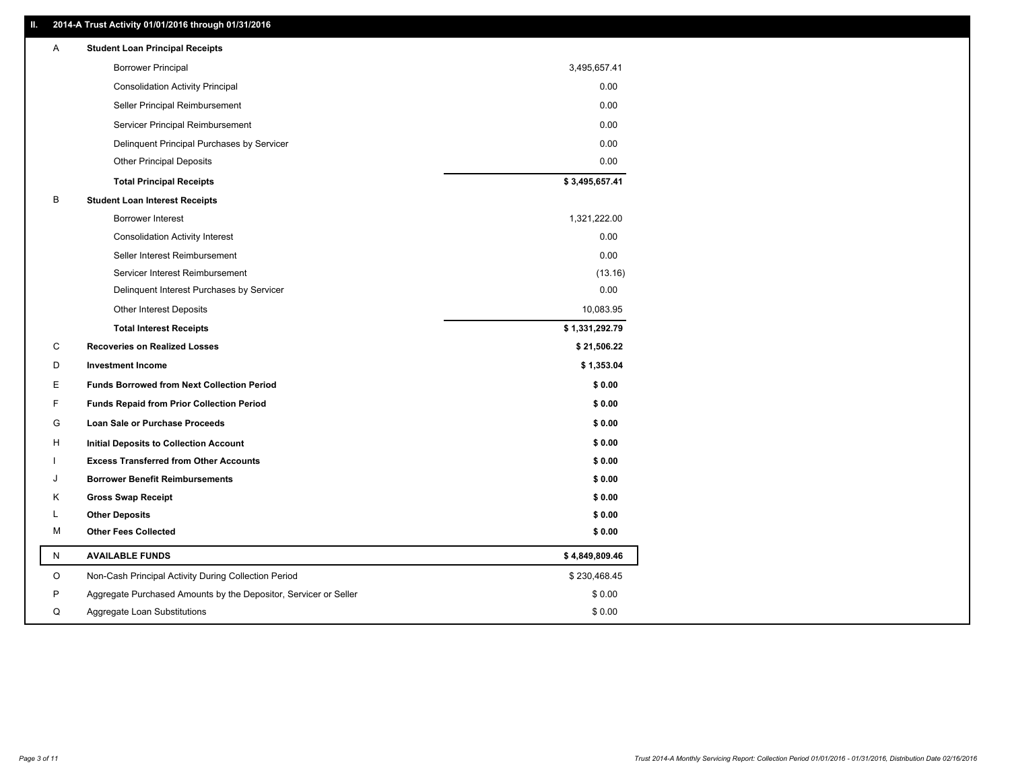### **II. 2014-A Trust Activity 01/01/2016 through 01/31/2016**

| Α | <b>Student Loan Principal Receipts</b>                           |                |
|---|------------------------------------------------------------------|----------------|
|   | <b>Borrower Principal</b>                                        | 3,495,657.41   |
|   | <b>Consolidation Activity Principal</b>                          | 0.00           |
|   | Seller Principal Reimbursement                                   | 0.00           |
|   | Servicer Principal Reimbursement                                 | 0.00           |
|   | Delinquent Principal Purchases by Servicer                       | 0.00           |
|   | <b>Other Principal Deposits</b>                                  | 0.00           |
|   | <b>Total Principal Receipts</b>                                  | \$3,495,657.41 |
| В | <b>Student Loan Interest Receipts</b>                            |                |
|   | Borrower Interest                                                | 1,321,222.00   |
|   | <b>Consolidation Activity Interest</b>                           | 0.00           |
|   | Seller Interest Reimbursement                                    | 0.00           |
|   | Servicer Interest Reimbursement                                  | (13.16)        |
|   | Delinquent Interest Purchases by Servicer                        | 0.00           |
|   | <b>Other Interest Deposits</b>                                   | 10,083.95      |
|   | <b>Total Interest Receipts</b>                                   | \$1,331,292.79 |
| C | <b>Recoveries on Realized Losses</b>                             | \$21,506.22    |
| D | <b>Investment Income</b>                                         | \$1,353.04     |
| E | <b>Funds Borrowed from Next Collection Period</b>                | \$0.00         |
| F | <b>Funds Repaid from Prior Collection Period</b>                 | \$0.00         |
| G | Loan Sale or Purchase Proceeds                                   | \$0.00         |
| н | Initial Deposits to Collection Account                           | \$0.00         |
|   | <b>Excess Transferred from Other Accounts</b>                    | \$0.00         |
| J | <b>Borrower Benefit Reimbursements</b>                           | \$0.00         |
| Κ | <b>Gross Swap Receipt</b>                                        | \$0.00         |
| L | <b>Other Deposits</b>                                            | \$0.00         |
| М | <b>Other Fees Collected</b>                                      | \$0.00         |
| N | <b>AVAILABLE FUNDS</b>                                           | \$4,849,809.46 |
| O | Non-Cash Principal Activity During Collection Period             | \$230,468.45   |
| P | Aggregate Purchased Amounts by the Depositor, Servicer or Seller | \$0.00         |
| Q | Aggregate Loan Substitutions                                     | \$0.00         |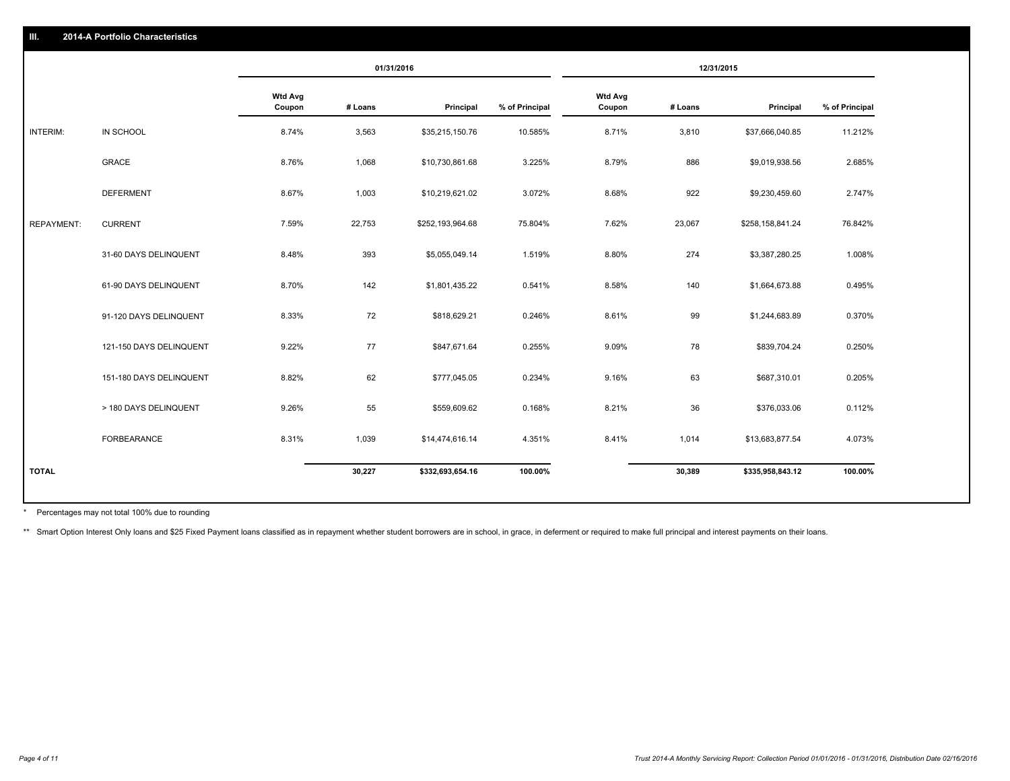|                   |                         | 01/31/2016               |         | 12/31/2015       |                |                          |         |                  |                |
|-------------------|-------------------------|--------------------------|---------|------------------|----------------|--------------------------|---------|------------------|----------------|
|                   |                         | <b>Wtd Avg</b><br>Coupon | # Loans | Principal        | % of Principal | <b>Wtd Avg</b><br>Coupon | # Loans | Principal        | % of Principal |
| INTERIM:          | IN SCHOOL               | 8.74%                    | 3,563   | \$35,215,150.76  | 10.585%        | 8.71%                    | 3,810   | \$37,666,040.85  | 11.212%        |
|                   | GRACE                   | 8.76%                    | 1,068   | \$10,730,861.68  | 3.225%         | 8.79%                    | 886     | \$9,019,938.56   | 2.685%         |
|                   | <b>DEFERMENT</b>        | 8.67%                    | 1,003   | \$10,219,621.02  | 3.072%         | 8.68%                    | 922     | \$9,230,459.60   | 2.747%         |
| <b>REPAYMENT:</b> | <b>CURRENT</b>          | 7.59%                    | 22,753  | \$252,193,964.68 | 75.804%        | 7.62%                    | 23,067  | \$258,158,841.24 | 76.842%        |
|                   | 31-60 DAYS DELINQUENT   | 8.48%                    | 393     | \$5,055,049.14   | 1.519%         | 8.80%                    | 274     | \$3,387,280.25   | 1.008%         |
|                   | 61-90 DAYS DELINQUENT   | 8.70%                    | 142     | \$1,801,435.22   | 0.541%         | 8.58%                    | 140     | \$1,664,673.88   | 0.495%         |
|                   | 91-120 DAYS DELINQUENT  | 8.33%                    | 72      | \$818,629.21     | 0.246%         | 8.61%                    | 99      | \$1,244,683.89   | 0.370%         |
|                   | 121-150 DAYS DELINQUENT | 9.22%                    | 77      | \$847,671.64     | 0.255%         | 9.09%                    | 78      | \$839,704.24     | 0.250%         |
|                   | 151-180 DAYS DELINQUENT | 8.82%                    | 62      | \$777,045.05     | 0.234%         | 9.16%                    | 63      | \$687,310.01     | 0.205%         |
|                   | > 180 DAYS DELINQUENT   | 9.26%                    | 55      | \$559,609.62     | 0.168%         | 8.21%                    | 36      | \$376,033.06     | 0.112%         |
|                   | FORBEARANCE             | 8.31%                    | 1,039   | \$14,474,616.14  | 4.351%         | 8.41%                    | 1,014   | \$13,683,877.54  | 4.073%         |
| <b>TOTAL</b>      |                         |                          | 30,227  | \$332,693,654.16 | 100.00%        |                          | 30,389  | \$335,958,843.12 | 100.00%        |

Percentages may not total 100% due to rounding \*

\*\* Smart Option Interest Only loans and \$25 Fixed Payment loans classified as in repayment whether student borrowers are in school, in grace, in deferment or required to make full principal and interest payments on their l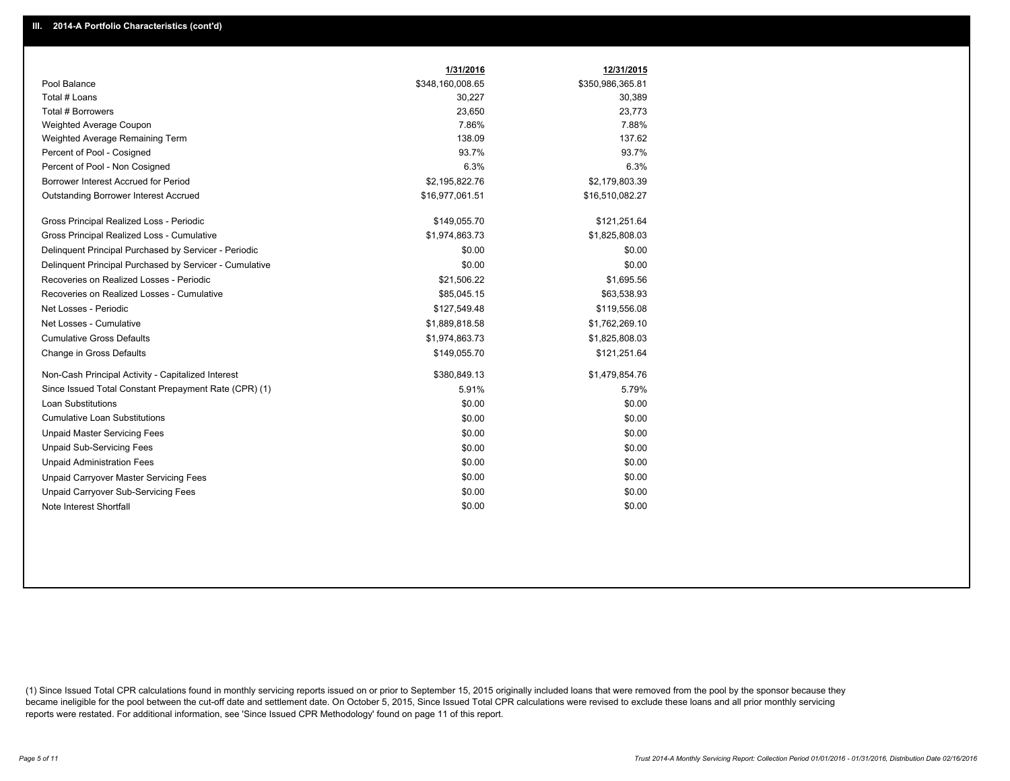|                                                         | 1/31/2016        | 12/31/2015       |
|---------------------------------------------------------|------------------|------------------|
| Pool Balance                                            | \$348,160,008.65 | \$350,986,365.81 |
| Total # Loans                                           | 30,227           | 30,389           |
| Total # Borrowers                                       | 23,650           | 23,773           |
| Weighted Average Coupon                                 | 7.86%            | 7.88%            |
| Weighted Average Remaining Term                         | 138.09           | 137.62           |
| Percent of Pool - Cosigned                              | 93.7%            | 93.7%            |
| Percent of Pool - Non Cosigned                          | 6.3%             | 6.3%             |
| Borrower Interest Accrued for Period                    | \$2,195,822.76   | \$2,179,803.39   |
| Outstanding Borrower Interest Accrued                   | \$16,977,061.51  | \$16,510,082.27  |
| Gross Principal Realized Loss - Periodic                | \$149,055.70     | \$121,251.64     |
| Gross Principal Realized Loss - Cumulative              | \$1,974,863.73   | \$1,825,808.03   |
| Delinguent Principal Purchased by Servicer - Periodic   | \$0.00           | \$0.00           |
| Delinguent Principal Purchased by Servicer - Cumulative | \$0.00           | \$0.00           |
| Recoveries on Realized Losses - Periodic                | \$21,506.22      | \$1,695.56       |
| Recoveries on Realized Losses - Cumulative              | \$85,045.15      | \$63,538.93      |
| Net Losses - Periodic                                   | \$127,549.48     | \$119,556.08     |
| Net Losses - Cumulative                                 | \$1,889,818.58   | \$1,762,269.10   |
| <b>Cumulative Gross Defaults</b>                        | \$1,974,863.73   | \$1,825,808.03   |
| Change in Gross Defaults                                | \$149,055.70     | \$121,251.64     |
| Non-Cash Principal Activity - Capitalized Interest      | \$380,849.13     | \$1,479,854.76   |
| Since Issued Total Constant Prepayment Rate (CPR) (1)   | 5.91%            | 5.79%            |
| <b>Loan Substitutions</b>                               | \$0.00           | \$0.00           |
| <b>Cumulative Loan Substitutions</b>                    | \$0.00           | \$0.00           |
| <b>Unpaid Master Servicing Fees</b>                     | \$0.00           | \$0.00           |
| <b>Unpaid Sub-Servicing Fees</b>                        | \$0.00           | \$0.00           |
| <b>Unpaid Administration Fees</b>                       | \$0.00           | \$0.00           |
| Unpaid Carryover Master Servicing Fees                  | \$0.00           | \$0.00           |
| Unpaid Carryover Sub-Servicing Fees                     | \$0.00           | \$0.00           |
| Note Interest Shortfall                                 | \$0.00           | \$0.00           |

(1) Since Issued Total CPR calculations found in monthly servicing reports issued on or prior to September 15, 2015 originally included loans that were removed from the pool by the sponsor because they became ineligible for the pool between the cut-off date and settlement date. On October 5, 2015, Since Issued Total CPR calculations were revised to exclude these loans and all prior monthly servicing reports were restated. For additional information, see 'Since Issued CPR Methodology' found on page 11 of this report.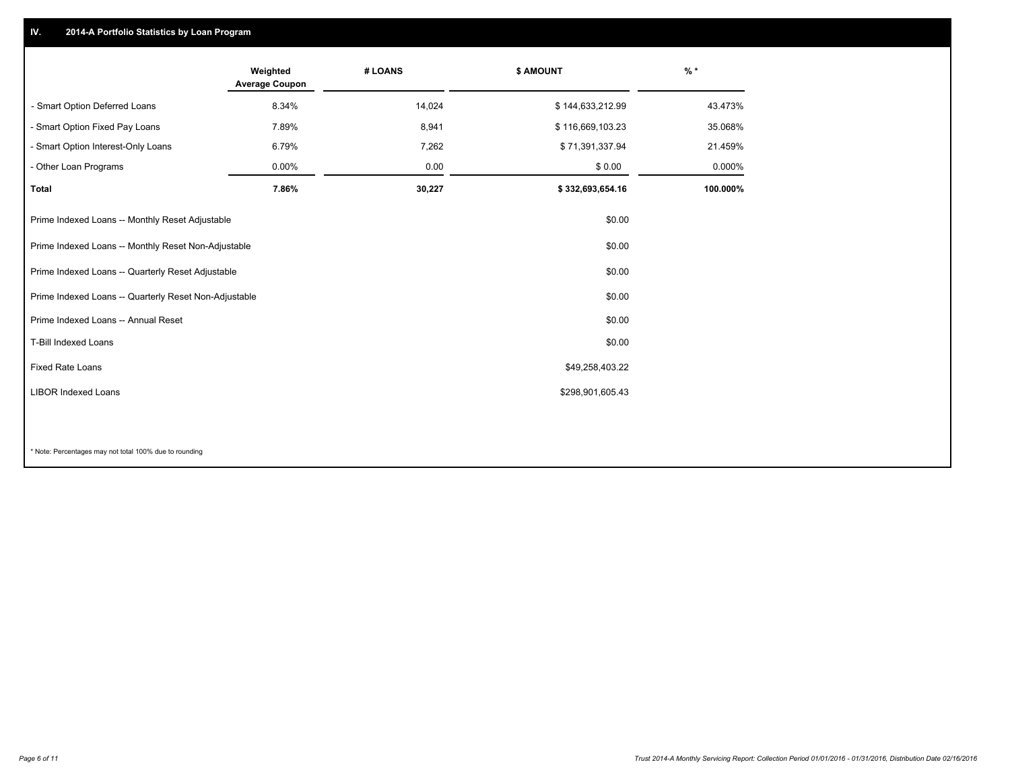## **IV. 2014-A Portfolio Statistics by Loan Program**

|                                                       | Weighted<br><b>Average Coupon</b> | # LOANS | \$ AMOUNT        | $%$ *    |
|-------------------------------------------------------|-----------------------------------|---------|------------------|----------|
| - Smart Option Deferred Loans                         | 8.34%                             | 14,024  | \$144,633,212.99 | 43.473%  |
| - Smart Option Fixed Pay Loans                        | 7.89%                             | 8,941   | \$116,669,103.23 | 35.068%  |
| - Smart Option Interest-Only Loans                    | 6.79%                             | 7,262   | \$71,391,337.94  | 21.459%  |
| - Other Loan Programs                                 | $0.00\%$                          | 0.00    | \$0.00           | 0.000%   |
| <b>Total</b>                                          | 7.86%                             | 30,227  | \$332,693,654.16 | 100.000% |
| Prime Indexed Loans -- Monthly Reset Adjustable       |                                   |         | \$0.00           |          |
| Prime Indexed Loans -- Monthly Reset Non-Adjustable   |                                   |         | \$0.00           |          |
| Prime Indexed Loans -- Quarterly Reset Adjustable     |                                   |         | \$0.00           |          |
| Prime Indexed Loans -- Quarterly Reset Non-Adjustable |                                   |         | \$0.00           |          |
| Prime Indexed Loans -- Annual Reset                   |                                   |         | \$0.00           |          |
| T-Bill Indexed Loans                                  |                                   |         | \$0.00           |          |
| <b>Fixed Rate Loans</b>                               |                                   |         | \$49,258,403.22  |          |
| <b>LIBOR Indexed Loans</b>                            |                                   |         | \$298,901,605.43 |          |
|                                                       |                                   |         |                  |          |

\* Note: Percentages may not total 100% due to rounding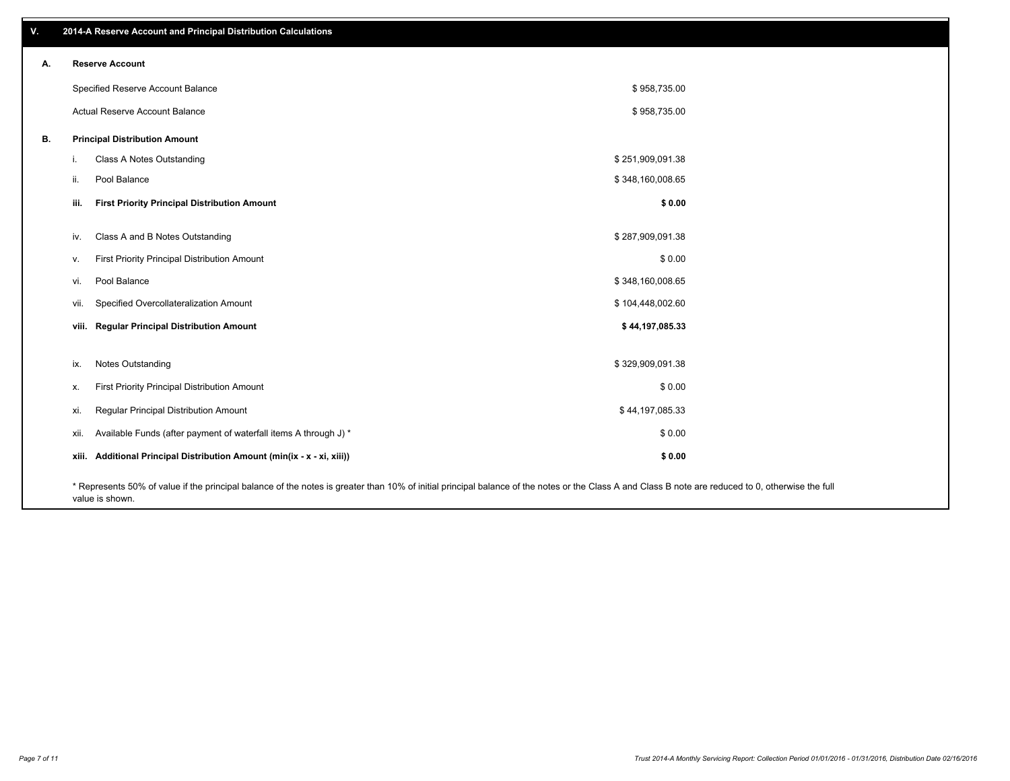| V. |       | 2014-A Reserve Account and Principal Distribution Calculations                                                                                                                                                        |                  |  |
|----|-------|-----------------------------------------------------------------------------------------------------------------------------------------------------------------------------------------------------------------------|------------------|--|
| А. |       | <b>Reserve Account</b>                                                                                                                                                                                                |                  |  |
|    |       | Specified Reserve Account Balance                                                                                                                                                                                     | \$958,735.00     |  |
|    |       | Actual Reserve Account Balance                                                                                                                                                                                        | \$958,735.00     |  |
| В. |       | <b>Principal Distribution Amount</b>                                                                                                                                                                                  |                  |  |
|    | j.    | Class A Notes Outstanding                                                                                                                                                                                             | \$251,909,091.38 |  |
|    | ii.   | Pool Balance                                                                                                                                                                                                          | \$348,160,008.65 |  |
|    | iii.  | <b>First Priority Principal Distribution Amount</b>                                                                                                                                                                   | \$0.00           |  |
|    |       |                                                                                                                                                                                                                       |                  |  |
|    | iv.   | Class A and B Notes Outstanding                                                                                                                                                                                       | \$287,909,091.38 |  |
|    | v.    | First Priority Principal Distribution Amount                                                                                                                                                                          | \$0.00           |  |
|    | vi.   | Pool Balance                                                                                                                                                                                                          | \$348,160,008.65 |  |
|    | vii.  | Specified Overcollateralization Amount                                                                                                                                                                                | \$104,448,002.60 |  |
|    |       | viii. Regular Principal Distribution Amount                                                                                                                                                                           | \$44,197,085.33  |  |
|    |       |                                                                                                                                                                                                                       |                  |  |
|    | ix.   | Notes Outstanding                                                                                                                                                                                                     | \$329,909,091.38 |  |
|    | х.    | First Priority Principal Distribution Amount                                                                                                                                                                          | \$0.00           |  |
|    | xi.   | Regular Principal Distribution Amount                                                                                                                                                                                 | \$44,197,085.33  |  |
|    | xii.  | Available Funds (after payment of waterfall items A through J) *                                                                                                                                                      | \$0.00           |  |
|    | xiii. | Additional Principal Distribution Amount (min(ix - x - xi, xiii))                                                                                                                                                     | \$0.00           |  |
|    |       | * Represents 50% of value if the principal balance of the notes is greater than 10% of initial principal balance of the notes or the Class A and Class B note are reduced to 0, otherwise the full<br>value is shown. |                  |  |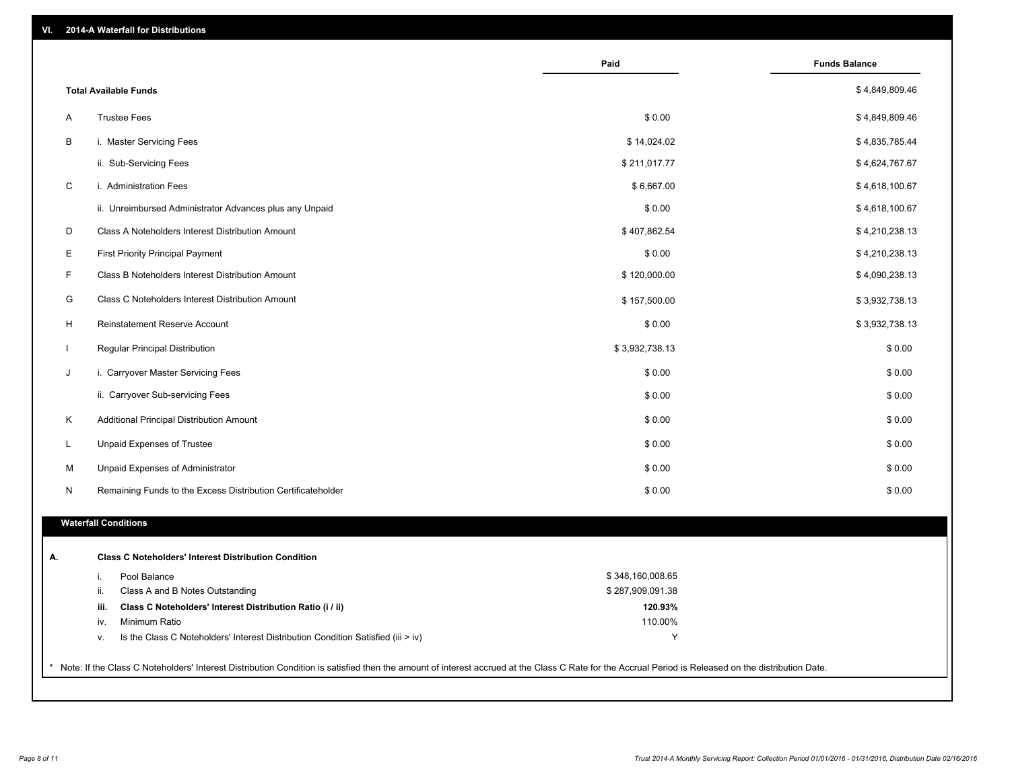| VI. | 2014-A Waterfall for Distributions |  |
|-----|------------------------------------|--|
|-----|------------------------------------|--|

|              |                                                                                                                | Paid             | <b>Funds Balance</b> |
|--------------|----------------------------------------------------------------------------------------------------------------|------------------|----------------------|
|              | <b>Total Available Funds</b>                                                                                   |                  | \$4,849,809.46       |
| Α            | <b>Trustee Fees</b>                                                                                            | \$0.00           | \$4,849,809.46       |
| B            | i. Master Servicing Fees                                                                                       | \$14,024.02      | \$4,835,785.44       |
|              | ii. Sub-Servicing Fees                                                                                         | \$211,017.77     | \$4,624,767.67       |
| $\mathsf C$  | i. Administration Fees                                                                                         | \$6,667.00       | \$4,618,100.67       |
|              | ii. Unreimbursed Administrator Advances plus any Unpaid                                                        | \$0.00           | \$4,618,100.67       |
| D            | Class A Noteholders Interest Distribution Amount                                                               | \$407,862.54     | \$4,210,238.13       |
| Е            | <b>First Priority Principal Payment</b>                                                                        | \$0.00           | \$4,210,238.13       |
| F.           | Class B Noteholders Interest Distribution Amount                                                               | \$120,000.00     | \$4,090,238.13       |
| G            | Class C Noteholders Interest Distribution Amount                                                               | \$157,500.00     | \$3,932,738.13       |
| H            | Reinstatement Reserve Account                                                                                  | \$0.00           | \$3,932,738.13       |
| $\mathbf{I}$ | Regular Principal Distribution                                                                                 | \$3,932,738.13   | \$0.00               |
| J            | i. Carryover Master Servicing Fees                                                                             | \$0.00           | \$0.00               |
|              | ii. Carryover Sub-servicing Fees                                                                               | \$0.00           | \$0.00               |
| Κ            | Additional Principal Distribution Amount                                                                       | \$0.00           | \$0.00               |
| L            | Unpaid Expenses of Trustee                                                                                     | \$0.00           | \$0.00               |
| M            | Unpaid Expenses of Administrator                                                                               | \$0.00           | \$0.00               |
| N            | Remaining Funds to the Excess Distribution Certificateholder                                                   | \$0.00           | \$0.00               |
|              | <b>Waterfall Conditions</b>                                                                                    |                  |                      |
|              |                                                                                                                |                  |                      |
|              | <b>Class C Noteholders' Interest Distribution Condition</b>                                                    |                  |                      |
|              | Pool Balance<br>i.                                                                                             | \$348,160,008.65 |                      |
|              | ii.<br>Class A and B Notes Outstanding                                                                         | \$287,909,091.38 |                      |
|              | Class C Noteholders' Interest Distribution Ratio (i / ii)<br>iii.                                              | 120.93%          |                      |
|              | Minimum Ratio<br>iv.<br>Is the Class C Noteholders' Interest Distribution Condition Satisfied (iii > iv)<br>۷. | 110.00%<br>Y     |                      |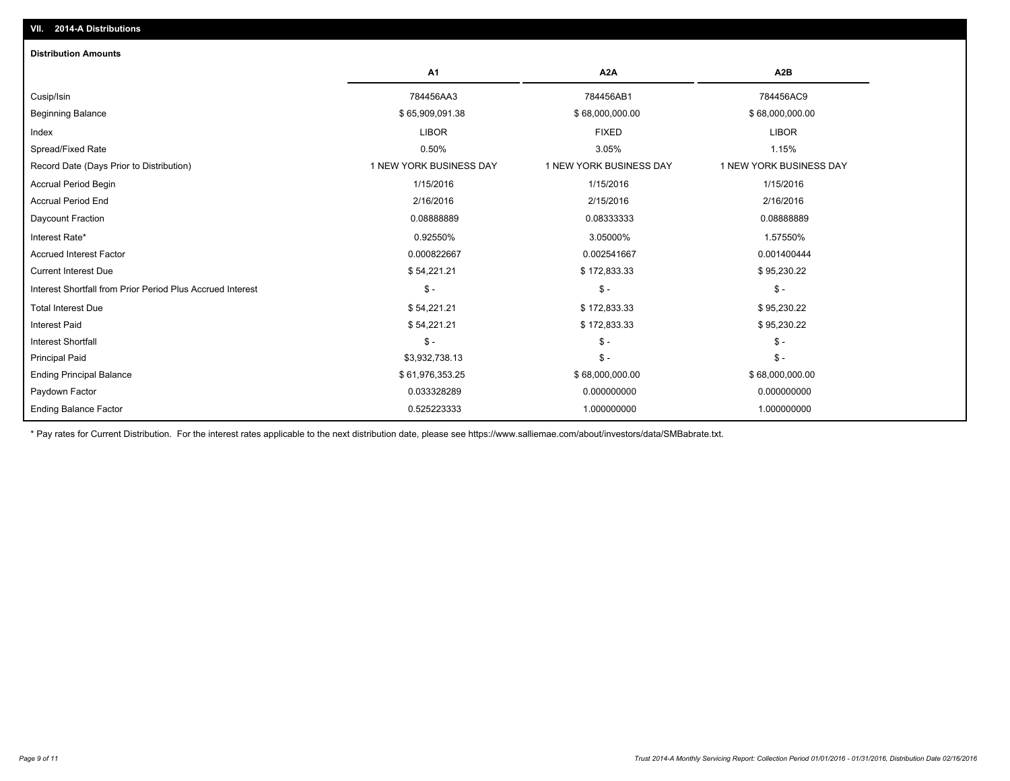| <b>Distribution Amounts</b>                                |                         |                         |                         |
|------------------------------------------------------------|-------------------------|-------------------------|-------------------------|
|                                                            | A <sub>1</sub>          | A <sub>2</sub> A        | A <sub>2</sub> B        |
| Cusip/Isin                                                 | 784456AA3               | 784456AB1               | 784456AC9               |
| <b>Beginning Balance</b>                                   | \$65,909,091.38         | \$68,000,000.00         | \$68,000,000.00         |
| Index                                                      | <b>LIBOR</b>            | <b>FIXED</b>            | <b>LIBOR</b>            |
| Spread/Fixed Rate                                          | 0.50%                   | 3.05%                   | 1.15%                   |
| Record Date (Days Prior to Distribution)                   | 1 NEW YORK BUSINESS DAY | 1 NEW YORK BUSINESS DAY | 1 NEW YORK BUSINESS DAY |
| <b>Accrual Period Begin</b>                                | 1/15/2016               | 1/15/2016               | 1/15/2016               |
| <b>Accrual Period End</b>                                  | 2/16/2016               | 2/15/2016               | 2/16/2016               |
| Daycount Fraction                                          | 0.0888889               | 0.08333333              | 0.08888889              |
| Interest Rate*                                             | 0.92550%                | 3.05000%                | 1.57550%                |
| <b>Accrued Interest Factor</b>                             | 0.000822667             | 0.002541667             | 0.001400444             |
| <b>Current Interest Due</b>                                | \$54,221.21             | \$172,833.33            | \$95,230.22             |
| Interest Shortfall from Prior Period Plus Accrued Interest | $S -$                   | $\frac{1}{2}$           | $\mathsf{\$}$ -         |
| <b>Total Interest Due</b>                                  | \$54,221.21             | \$172,833.33            | \$95,230.22             |
| <b>Interest Paid</b>                                       | \$54,221.21             | \$172,833.33            | \$95,230.22             |
| <b>Interest Shortfall</b>                                  | $\mathsf{\$}$ -         | $\frac{2}{3}$ -         | $\frac{1}{2}$ -         |
| <b>Principal Paid</b>                                      | \$3,932,738.13          | $\frac{2}{3}$ -         | $S -$                   |
| <b>Ending Principal Balance</b>                            | \$61,976,353.25         | \$68,000,000.00         | \$68,000,000.00         |
| Paydown Factor                                             | 0.033328289             | 0.000000000             | 0.000000000             |
| <b>Ending Balance Factor</b>                               | 0.525223333             | 1.000000000             | 1.000000000             |

\* Pay rates for Current Distribution. For the interest rates applicable to the next distribution date, please see https://www.salliemae.com/about/investors/data/SMBabrate.txt.

**VII. 2014-A Distributions**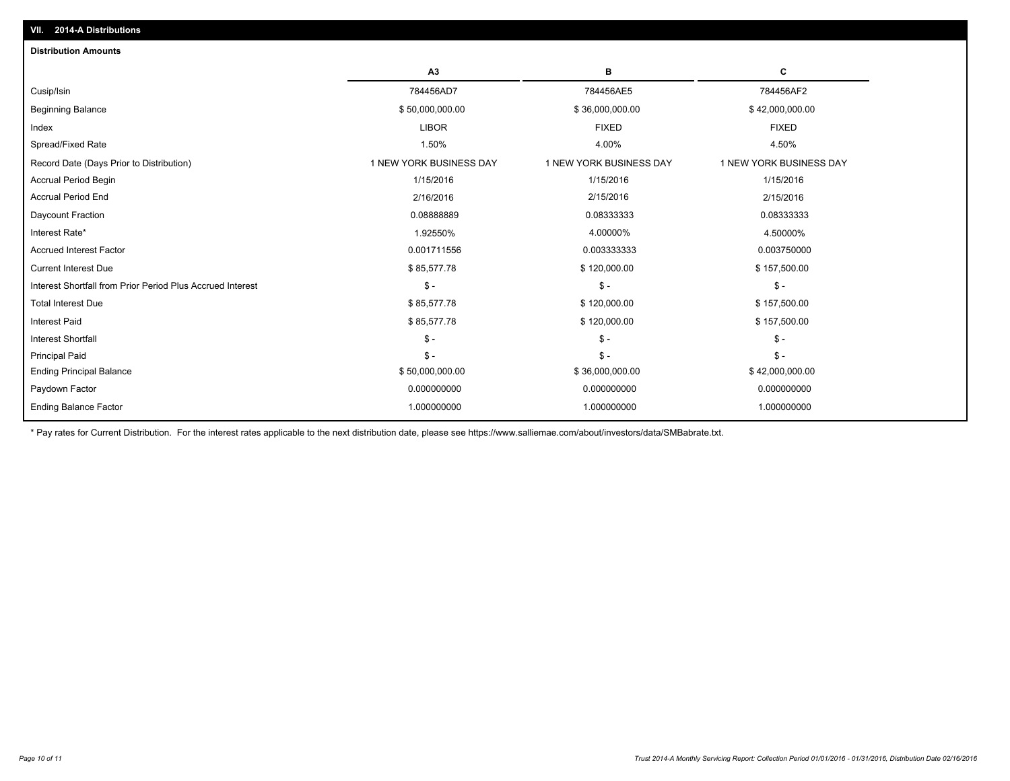| <b>Distribution Amounts</b>                                |                         |                         |                         |
|------------------------------------------------------------|-------------------------|-------------------------|-------------------------|
|                                                            | A3                      | в                       | C                       |
| Cusip/Isin                                                 | 784456AD7               | 784456AE5               | 784456AF2               |
| <b>Beginning Balance</b>                                   | \$50,000,000.00         | \$36,000,000.00         | \$42,000,000.00         |
| Index                                                      | <b>LIBOR</b>            | <b>FIXED</b>            | <b>FIXED</b>            |
| Spread/Fixed Rate                                          | 1.50%                   | 4.00%                   | 4.50%                   |
| Record Date (Days Prior to Distribution)                   | 1 NEW YORK BUSINESS DAY | 1 NEW YORK BUSINESS DAY | 1 NEW YORK BUSINESS DAY |
| <b>Accrual Period Begin</b>                                | 1/15/2016               | 1/15/2016               | 1/15/2016               |
| <b>Accrual Period End</b>                                  | 2/16/2016               | 2/15/2016               | 2/15/2016               |
| Daycount Fraction                                          | 0.0888889               | 0.08333333              | 0.08333333              |
| Interest Rate*                                             | 1.92550%                | 4.00000%                | 4.50000%                |
| <b>Accrued Interest Factor</b>                             | 0.001711556             | 0.003333333             | 0.003750000             |
| <b>Current Interest Due</b>                                | \$85,577.78             | \$120,000.00            | \$157,500.00            |
| Interest Shortfall from Prior Period Plus Accrued Interest | $\mathsf{\$}$ -         | $\mathbb{S}$ -          | $\mathsf{\$}$ -         |
| <b>Total Interest Due</b>                                  | \$85,577.78             | \$120,000.00            | \$157,500.00            |
| <b>Interest Paid</b>                                       | \$85,577.78             | \$120,000.00            | \$157,500.00            |
| <b>Interest Shortfall</b>                                  | $\mathsf{\$}$ -         | $\mathcal{S}$ -         | $S -$                   |
| <b>Principal Paid</b>                                      | $\mathsf{\$}$ -         | $\mathbb{S}$ -          | $S -$                   |
| <b>Ending Principal Balance</b>                            | \$50,000,000.00         | \$36,000,000.00         | \$42,000,000.00         |
| Paydown Factor                                             | 0.000000000             | 0.000000000             | 0.000000000             |
| <b>Ending Balance Factor</b>                               | 1.000000000             | 1.000000000             | 1.000000000             |
|                                                            |                         |                         |                         |

\* Pay rates for Current Distribution. For the interest rates applicable to the next distribution date, please see https://www.salliemae.com/about/investors/data/SMBabrate.txt.

**VII. 2014-A Distributions**